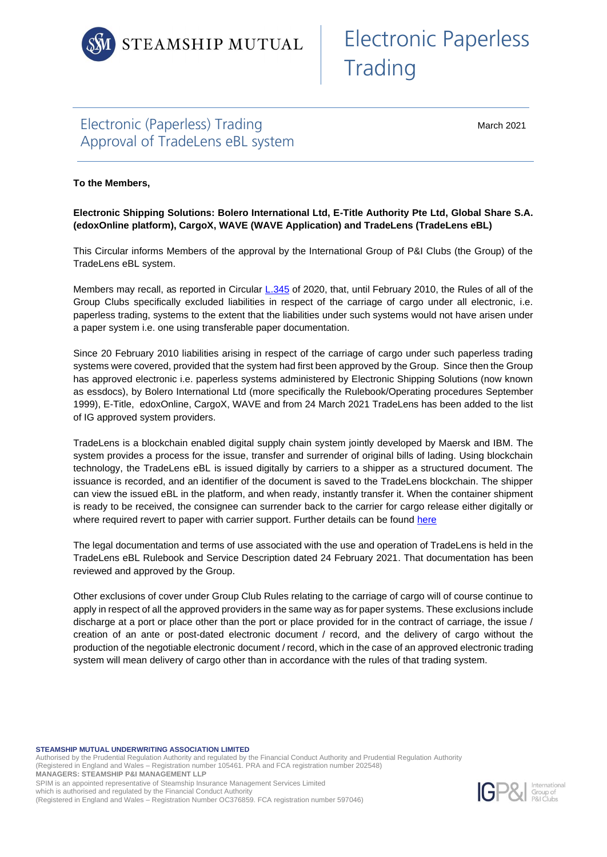

## Electronic (Paperless) Trading Approval of TradeLens eBL system

March 2021

## **To the Members,**

**Electronic Shipping Solutions: Bolero International Ltd, E-Title Authority Pte Ltd, Global Share S.A. (edoxOnline platform), CargoX, WAVE (WAVE Application) and TradeLens (TradeLens eBL)**

This Circular informs Members of the approval by the International Group of P&I Clubs (the Group) of the TradeLens eBL system.

Members may recall, as reported in Circular [L.345](https://www.steamshipmutual.com/Circulars-London/L.345.pdf) of 2020, that, until February 2010, the Rules of all of the Group Clubs specifically excluded liabilities in respect of the carriage of cargo under all electronic, i.e. paperless trading, systems to the extent that the liabilities under such systems would not have arisen under a paper system i.e. one using transferable paper documentation.

Since 20 February 2010 liabilities arising in respect of the carriage of cargo under such paperless trading systems were covered, provided that the system had first been approved by the Group. Since then the Group has approved electronic i.e. paperless systems administered by Electronic Shipping Solutions (now known as essdocs), by Bolero International Ltd (more specifically the Rulebook/Operating procedures September 1999), E-Title, edoxOnline, CargoX, WAVE and from 24 March 2021 TradeLens has been added to the list of IG approved system providers.

TradeLens is a blockchain enabled digital supply chain system jointly developed by Maersk and IBM. The system provides a process for the issue, transfer and surrender of original bills of lading. Using blockchain technology, the TradeLens eBL is issued digitally by carriers to a shipper as a structured document. The issuance is recorded, and an identifier of the document is saved to the TradeLens blockchain. The shipper can view the issued eBL in the platform, and when ready, instantly transfer it. When the container shipment is ready to be received, the consignee can surrender back to the carrier for cargo release either digitally or where required revert to paper with carrier support. Further details can be found [here](http://www.tradelens.com/marketplace/tradelens-ebl)

The legal documentation and terms of use associated with the use and operation of TradeLens is held in the TradeLens eBL Rulebook and Service Description dated 24 February 2021. That documentation has been reviewed and approved by the Group.

Other exclusions of cover under Group Club Rules relating to the carriage of cargo will of course continue to apply in respect of all the approved providers in the same way as for paper systems. These exclusions include discharge at a port or place other than the port or place provided for in the contract of carriage, the issue / creation of an ante or post-dated electronic document / record, and the delivery of cargo without the production of the negotiable electronic document / record, which in the case of an approved electronic trading system will mean delivery of cargo other than in accordance with the rules of that trading system.

**STEAMSHIP MUTUAL UNDERWRITING ASSOCIATION LIMITED**

Authorised by the Prudential Regulation Authority and regulated by the Financial Conduct Authority and Prudential Regulation Authority (Registered in England and Wales – Registration number 105461. PRA and FCA registration number 202548) **MANAGERS: STEAMSHIP P&I MANAGEMENT LLP** SPIM is an appointed representative of Steamship Insurance Management Services Limited which is authorised and regulated by the Financial Conduct Authority (Registered in England and Wales – Registration Number OC376859. FCA registration number 597046)